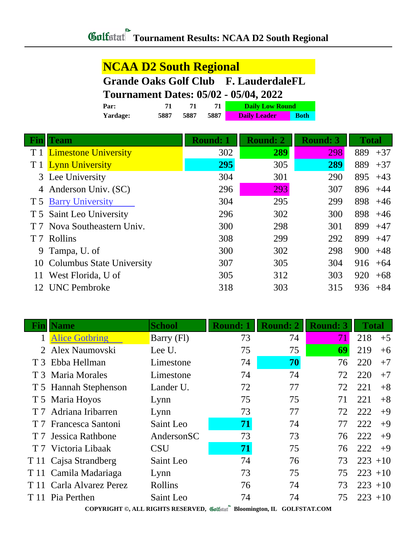## **Tournament Results: NCAA D2 South Regional**

### **NCAA D2 South Regional**

## **Grande Oaks Golf Club F. LauderdaleFL**

### **Tournament Dates: 05/02 - 05/04, 2022**

| Par:     |      |      |      | <b>Daily Low Round</b> |             |  |
|----------|------|------|------|------------------------|-------------|--|
| Yardage: | 5887 | 5887 | 5887 | <b>Daily Leader</b>    | <b>Both</b> |  |

| Fin | <b>Team</b>                  | <b>Round: 1</b> | <b>Round: 2</b> | <b>Round: 3</b> | <b>Total</b> |
|-----|------------------------------|-----------------|-----------------|-----------------|--------------|
|     | T 1 Limestone University     | 302             | 289             | 298             | 889<br>$+37$ |
|     | T 1 Lynn University          | 295             | 305             | 289             | 889<br>$+37$ |
|     | 3 Lee University             | 304             | 301             | 290             | 895<br>$+43$ |
|     | 4 Anderson Univ. (SC)        | 296             | 293             | 307             | 896<br>$+44$ |
|     | T 5 Barry University         | 304             | 295             | 299             | 898<br>$+46$ |
|     | T 5 Saint Leo University     | 296             | 302             | 300             | 898<br>$+46$ |
|     | Nova Southeastern Univ.      | 300             | 298             | 301             | 899<br>$+47$ |
| T 7 | Rollins                      | 308             | 299             | 292             | 899<br>$+47$ |
|     | 9 Tampa, U. of               | 300             | 302             | 298             | 900<br>$+48$ |
|     | 10 Columbus State University | 307             | 305             | 304             | 916<br>$+64$ |
| 11  | West Florida, U of           | 305             | 312             | 303             | 920<br>$+68$ |
| 12  | <b>UNC</b> Pembroke          | 318             | 303             | 315             | 936<br>$+84$ |

| Fin | <b>Name</b>              | <b>School</b> | <b>Round:</b> | <b>Round: 2</b> | <b>Round: 3</b> | <b>Total</b> |
|-----|--------------------------|---------------|---------------|-----------------|-----------------|--------------|
|     | <b>Alice Gotbring</b>    | Barry (Fl)    | 73            | 74              | 71              | 218<br>$+5$  |
|     | 2 Alex Naumovski         | Lee U.        | 75            | 75              | 69              | 219<br>$+6$  |
|     | T 3 Ebba Hellman         | Limestone     | 74            | 70              | 76              | 220<br>$+7$  |
|     | T 3 Maria Morales        | Limestone     | 74            | 74              | 72              | 220<br>$+7$  |
|     | T 5 Hannah Stephenson    | Lander U.     | 72            | 77              | 72              | 221<br>$+8$  |
|     | T 5 Maria Hoyos          | Lynn          | 75            | 75              | 71              | 221<br>$+8$  |
|     | T 7 Adriana Iribarren    | Lynn          | 73            | 77              | 72              | 222<br>$+9$  |
|     | T 7 Francesca Santoni    | Saint Leo     | 71            | 74              | 77              | 222<br>$+9$  |
|     | T 7 Jessica Rathbone     | AndersonSC    | 73            | 73              | 76              | 222<br>$+9$  |
|     | T 7 Victoria Libaak      | <b>CSU</b>    | 71            | 75              | 76              | 222<br>$+9$  |
|     | T 11 Cajsa Strandberg    | Saint Leo     | 74            | 76              | 73              | $223 + 10$   |
|     | T 11 Camila Madariaga    | Lynn          | 73            | 75              | 75              | $223 + 10$   |
|     | T 11 Carla Alvarez Perez | Rollins       | 76            | 74              | 73              | $223 + 10$   |
|     | T 11 Pia Perthen         | Saint Leo     | 74            | 74              | 75              | $223 + 10$   |

**COPYRIGHT ©, ALL RIGHTS RESERVED, Bloomington, IL GOLFSTAT.COM**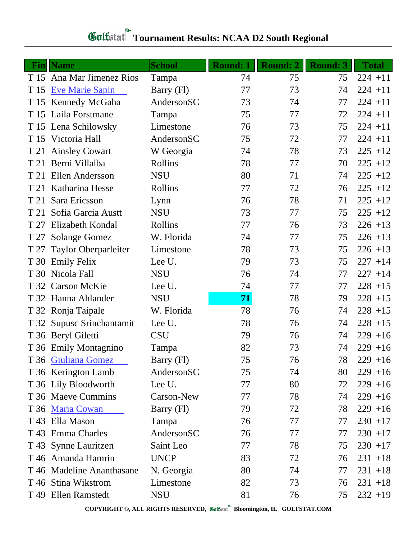# **Gulfatat** Tournament Results: NCAA D2 South Regional

| <b>Fin</b> | <b>Name</b>               | <b>School</b> | <b>Round: 1</b> | <b>Round: 2</b> | <b>Round: 3</b> | <b>Total</b> |
|------------|---------------------------|---------------|-----------------|-----------------|-----------------|--------------|
|            | T 15 Ana Mar Jimenez Rios | Tampa         | 74              | 75              | 75              | $224 + 11$   |
| T 15       | <b>Eve Marie Sapin</b>    | Barry (Fl)    | 77              | 73              | 74              | $224 + 11$   |
|            | T 15 Kennedy McGaha       | AndersonSC    | 73              | 74              | 77              | $224 + 11$   |
|            | T 15 Laila Forstmane      | Tampa         | 75              | 77              | 72              | $224 + 11$   |
|            | T 15 Lena Schilowsky      | Limestone     | 76              | 73              | 75              | $224 + 11$   |
|            | T 15 Victoria Hall        | AndersonSC    | 75              | 72              | 77              | $224 + 11$   |
|            | T 21 Ainsley Cowart       | W Georgia     | 74              | 78              | 73              | $225 + 12$   |
| T 21       | Berni Villalba            | Rollins       | 78              | 77              | 70              | $225 + 12$   |
| T 21       | Ellen Andersson           | <b>NSU</b>    | 80              | 71              | 74              | $225 + 12$   |
| T 21       | Katharina Hesse           | Rollins       | 77              | 72              | 76              | $225 + 12$   |
| T 21       | Sara Ericsson             | Lynn          | 76              | 78              | 71              | $225 + 12$   |
| T 21       | Sofia Garcia Austt        | <b>NSU</b>    | 73              | 77              | 75              | $225 + 12$   |
| T 27       | Elizabeth Kondal          | Rollins       | 77              | 76              | 73              | $226 + 13$   |
| T 27       | <b>Solange Gomez</b>      | W. Florida    | 74              | 77              | 75              | $226 + 13$   |
| T 27       | Taylor Oberparleiter      | Limestone     | 78              | 73              | 75              | $226 + 13$   |
| T 30       | <b>Emily Felix</b>        | Lee U.        | 79              | 73              | 75              | $227 + 14$   |
|            | T 30 Nicola Fall          | <b>NSU</b>    | 76              | 74              | 77              | $227 + 14$   |
|            | T 32 Carson McKie         | Lee U.        | 74              | 77              | 77              | $228 + 15$   |
|            | T 32 Hanna Ahlander       | <b>NSU</b>    | 71              | 78              | 79              | $228 + 15$   |
|            | T 32 Ronja Taipale        | W. Florida    | 78              | 76              | 74              | $228 + 15$   |
|            | T 32 Supusc Srinchantamit | Lee U.        | 78              | 76              | 74              | $228 + 15$   |
|            | T 36 Beryl Giletti        | <b>CSU</b>    | 79              | 76              | 74              | $229 + 16$   |
|            | T 36 Emily Montagnino     | Tampa         | 82              | 73              | 74              | $229 + 16$   |
|            | T 36 Giuliana Gomez       | Barry (Fl)    | 75              | 76              | 78              | $229 + 16$   |
|            | T 36 Kerington Lamb       | AndersonSC    | 75              | 74              | 80              | $229 + 16$   |
|            | T 36 Lily Bloodworth      | Lee U.        | 77              | 80              | 72              | $229 + 16$   |
|            | T 36 Maeve Cummins        | Carson-New    | 77              | 78              | 74              | $229 + 16$   |
|            | T 36 Maria Cowan          | Barry (Fl)    | 79              | 72              | 78              | $229 + 16$   |
|            | T 43 Ella Mason           | Tampa         | 76              | 77              | 77              | $230 + 17$   |
|            | T 43 Emma Charles         | AndersonSC    | 76              | 77              | 77              | $230 + 17$   |
|            | T 43 Synne Lauritzen      | Saint Leo     | 77              | 78              | 75              | $230 + 17$   |
|            | T 46 Amanda Hamrin        | <b>UNCP</b>   | 83              | 72              | 76              | $231 + 18$   |
|            | T 46 Madeline Ananthasane | N. Georgia    | 80              | 74              | 77              | $231 + 18$   |
|            | T 46 Stina Wikstrom       | Limestone     | 82              | 73              | 76              | $231 + 18$   |
|            | T 49 Ellen Ramstedt       | <b>NSU</b>    | 81              | 76              | 75              | $232 + 19$   |